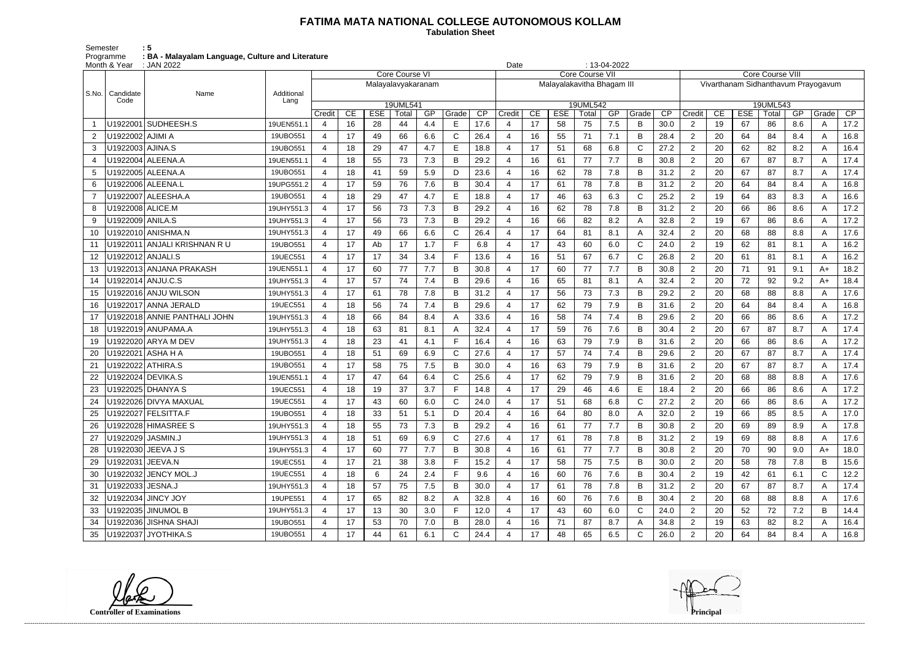## **FATIMA MATA NATIONAL COLLEGE AUTONOMOUS KOLLAM**

 **Tabulation Sheet** 

Semester : 5 Programme : BA - Malayalam Language, Culture and Literature

| $: 13-04-2022$<br>: JAN 2022<br>Month & Year<br>Date<br><b>Core Course VI</b><br><b>Core Course VII</b> |                                |            |                |    |            |                    |     |       |      |        |    |                            |          |     |             |                 |                                     |    |            |       |     |              |      |
|---------------------------------------------------------------------------------------------------------|--------------------------------|------------|----------------|----|------------|--------------------|-----|-------|------|--------|----|----------------------------|----------|-----|-------------|-----------------|-------------------------------------|----|------------|-------|-----|--------------|------|
|                                                                                                         |                                |            |                |    |            |                    |     |       |      |        |    |                            |          |     |             |                 | <b>Core Course VIII</b>             |    |            |       |     |              |      |
| l S.No.                                                                                                 |                                | Additional |                |    |            | Malayalavyakaranam |     |       |      |        |    | Malayalakavitha Bhagam III |          |     |             |                 | Vivarthanam Sidhanthavum Prayogavum |    |            |       |     |              |      |
|                                                                                                         | Candidate<br>Name<br>Code      | Lang       |                |    |            | 19UML541           |     |       |      |        |    |                            | 19UML542 |     |             |                 | 19UML543                            |    |            |       |     |              |      |
|                                                                                                         |                                |            | Credit         | CE | <b>ESE</b> | Total              | GP  | Grade | CP   | Credit | CE | <b>ESE</b>                 | Total    | GP  | Grade       | $\overline{CP}$ | Credit                              | CE | <b>ESE</b> | Total | GP  | Grade        | CP   |
|                                                                                                         | U1922001 SUDHEESH.S            | 19UEN551.1 | 4              | 16 | 28         | 44                 | 4.4 | E     | 17.6 |        | 17 | 58                         | 75       | 7.5 | B           | 30.0            | $\overline{2}$                      | 19 | 67         | 86    | 8.6 | A            | 17.2 |
| 2                                                                                                       | U1922002 AJIMI A               | 19UBO551   | 4              | 17 | 49         | 66                 | 6.6 | C     | 26.4 |        | 16 | 55                         | 71       | 7.1 | B           | 28.4            | $\overline{2}$                      | 20 | 64         | 84    | 8.4 | A            | 16.8 |
| 3                                                                                                       | U1922003 AJINA.S               | 19UBO551   | 4              | 18 | 29         | 47                 | 4.7 | Е     | 18.8 | 4      | 17 | 51                         | 68       | 6.8 | C           | 27.2            | $\overline{2}$                      | 20 | 62         | 82    | 8.2 | A            | 16.4 |
| 4                                                                                                       | U1922004 ALEENA.A              | 19UEN551.1 | 4              | 18 | 55         | 73                 | 7.3 | в     | 29.2 |        | 16 | 61                         | 77       | 7.7 | B           | 30.8            | $\overline{2}$                      | 20 | 67         | 87    | 8.7 | A            | 17.4 |
| 5                                                                                                       | U1922005   ALEENA.A            | 19UBO551   | 4              | 18 | 41         | 59                 | 5.9 | D     | 23.6 |        | 16 | 62                         | 78       | 7.8 | B           | 31.2            | 2                                   | 20 | 67         | 87    | 8.7 | A            | 17.4 |
| 6                                                                                                       | U1922006   ALEENA.L            | 19UPG551.2 | 4              | 17 | 59         | 76                 | 7.6 | в     | 30.4 |        | 17 | 61                         | 78       | 7.8 | B           | 31.2            | $\overline{2}$                      | 20 | 64         | 84    | 8.4 | A            | 16.8 |
|                                                                                                         | U1922007 ALEESHA.A             | 19UBO551   | 4              | 18 | 29         | 47                 | 4.7 | E     | 18.8 |        | 17 | 46                         | 63       | 6.3 | C           | 25.2            | $\overline{2}$                      | 19 | 64         | 83    | 8.3 | A            | 16.6 |
| 8                                                                                                       | U1922008 ALICE.M               | 19UHY551.3 | 4              | 17 | 56         | 73                 | 7.3 | B     | 29.2 |        | 16 | 62                         | 78       | 7.8 | B           | 31.2            | $\overline{2}$                      | 20 | 66         | 86    | 8.6 | A            | 17.2 |
| 9                                                                                                       | U1922009   ANILA.S             | 19UHY551.3 | 4              | 17 | 56         | 73                 | 7.3 | B     | 29.2 |        | 16 | 66                         | 82       | 8.2 | A           | 32.8            | $\overline{2}$                      | 19 | 67         | 86    | 8.6 | A            | 17.2 |
| 10                                                                                                      | U1922010 ANISHMA.N             | 19UHY551.3 | 4              | 17 | 49         | 66                 | 6.6 | C     | 26.4 |        | 17 | 64                         | 81       | 8.1 | A           | 32.4            | $\overline{2}$                      | 20 | 68         | 88    | 8.8 | A            | 17.6 |
| 11                                                                                                      | U1922011   ANJALI KRISHNAN R U | 19UBO551   | 4              | 17 | Ab         | 17                 | 1.7 |       | 6.8  |        | 17 | 43                         | 60       | 6.0 | C           | 24.0            | $\overline{2}$                      | 19 | 62         | 81    | 8.1 | A            | 16.2 |
| 12                                                                                                      | U1922012   ANJALI.S            | 19UEC551   | 4              | 17 | 17         | 34                 | 3.4 | E     | 13.6 |        | 16 | 51                         | 67       | 6.7 | $\mathsf C$ | 26.8            | $\overline{2}$                      | 20 | 61         | 81    | 8.1 | A            | 16.2 |
| 13                                                                                                      | U1922013 ANJANA PRAKASH        | 19UEN551.1 | 4              | 17 | 60         | 77                 | 7.7 | B     | 30.8 | Δ      | 17 | 60                         | 77       | 7.7 | B           | 30.8            | $\overline{2}$                      | 20 | 71         | 91    | 9.1 | A+           | 18.2 |
| 14                                                                                                      | U1922014 ANJU.C.S              | 19UHY551.3 | $\overline{4}$ | 17 | 57         | 74                 | 7.4 | B     | 29.6 |        | 16 | 65                         | 81       | 8.1 | A           | 32.4            | $\overline{2}$                      | 20 | 72         | 92    | 9.2 | $A+$         | 18.4 |
| 15                                                                                                      | U1922016 ANJU WILSON           | 19UHY551.3 | 4              | 17 | 61         | 78                 | 7.8 | B     | 31.2 |        | 17 | 56                         | 73       | 7.3 | B           | 29.2            | $\overline{2}$                      | 20 | 68         | 88    | 8.8 | A            | 17.6 |
| 16                                                                                                      | U1922017 ANNA JERALD           | 19UEC551   | 4              | 18 | 56         | 74                 | 7.4 | B     | 29.6 |        | 17 | 62                         | 79       | 7.9 | B           | 31.6            | $\overline{2}$                      | 20 | 64         | 84    | 8.4 | A            | 16.8 |
| 17                                                                                                      | U1922018 ANNIE PANTHALI JOHN   | 19UHY551.3 | 4              | 18 | 66         | 84                 | 8.4 | Α     | 33.6 | Δ      | 16 | 58                         | 74       | 7.4 | B           | 29.6            | $\overline{2}$                      | 20 | 66         | 86    | 8.6 | A            | 17.2 |
| 18                                                                                                      | U1922019 ANUPAMA.A             | 19UHY551.3 | 4              | 18 | 63         | 81                 | 8.1 | A     | 32.4 |        | 17 | 59                         | 76       | 7.6 | B           | 30.4            | $\overline{2}$                      | 20 | 67         | 87    | 8.7 | A            | 17.4 |
| 19                                                                                                      |                                | 19UHY551.3 | $\overline{4}$ | 18 | 23         | 41                 | 4.1 | Е     | 16.4 |        | 16 | 63                         | 79       | 7.9 | B           | 31.6            | 2                                   | 20 | 66         | 86    | 8.6 | A            | 17.2 |
| 20                                                                                                      | U1922021   ASHA H A            | 19UBO551   | 4              | 18 | 51         | 69                 | 6.9 | C     | 27.6 |        | 17 | 57                         | 74       | 7.4 | B           | 29.6            | $\overline{2}$                      | 20 | 67         | 87    | 8.7 | A            | 17.4 |
| 21                                                                                                      | U1922022 ATHIRA.S              | 19UBO551   | 4              | 17 | 58         | 75                 | 7.5 | в     | 30.0 |        | 16 | 63                         | 79       | 7.9 | B           | 31.6            | $\overline{2}$                      | 20 | 67         | 87    | 8.7 | A            | 17.4 |
| 22                                                                                                      | U1922024 DEVIKA.S              | 19UEN551.1 | $\overline{4}$ | 17 | 47         | 64                 | 6.4 | C     | 25.6 |        | 17 | 62                         | 79       | 7.9 | B           | 31.6            | $\overline{2}$                      | 20 | 68         | 88    | 8.8 | A            | 17.6 |
|                                                                                                         | U1922025 DHANYA S              | 19UEC551   | 4              | 18 | 19         | 37                 | 3.7 | Е     | 14.8 |        | 17 | 29                         | 46       | 4.6 | E           | 18.4            | $\overline{2}$                      | 20 | 66         | 86    | 8.6 | A            | 17.2 |
| 24                                                                                                      | U1922026 DIVYA MAXUAL          | 19UEC551   | 4              | 17 | 43         | 60                 | 6.0 | С     | 24.0 |        | 17 | 51                         | 68       | 6.8 | $\mathsf C$ | 27.2            | 2                                   | 20 | 66         | 86    | 8.6 | A            | 17.2 |
| 25                                                                                                      | U1922027 FELSITTA.F            | 19UBO551   | 4              | 18 | 33         | 51                 | 5.1 | D     | 20.4 | 4      | 16 | 64                         | 80       | 8.0 | A           | 32.0            | $\overline{2}$                      | 19 | 66         | 85    | 8.5 | A            | 17.0 |
| 26                                                                                                      | U1922028 HIMASREE S            | 19UHY551.3 | 4              | 18 | 55         | 73                 | 7.3 | B     | 29.2 |        | 16 | 61                         | 77       | 7.7 | B           | 30.8            | $\overline{2}$                      | 20 | 69         | 89    | 8.9 | A            | 17.8 |
| 27                                                                                                      | U1922029 JASMIN.J              | 19UHY551.3 | $\overline{4}$ | 18 | 51         | 69                 | 6.9 | C     | 27.6 |        | 17 | 61                         | 78       | 7.8 | B           | 31.2            | $\overline{2}$                      | 19 | 69         | 88    | 8.8 | A            | 17.6 |
| 28                                                                                                      | U1922030 JEEVA J S             | 19UHY551.3 | 4              | 17 | 60         | 77                 | 7.7 | В     | 30.8 | 4      | 16 | 61                         | 77       | 7.7 | B           | 30.8            | $\overline{2}$                      | 20 | 70         | 90    | 9.0 | A+           | 18.0 |
| 29                                                                                                      | U1922031 JEEVA.N               | 19UEC551   | 4              | 17 | 21         | 38                 | 3.8 |       | 15.2 |        | 17 | 58                         | 75       | 7.5 | B           | 30.0            | $\overline{2}$                      | 20 | 58         | 78    | 7.8 | B            | 15.6 |
| 30                                                                                                      | U1922032 JENCY MOL.J           | 19UEC551   | 4              | 18 | 6          | 24                 | 2.4 | E     | 9.6  |        | 16 | 60                         | 76       | 7.6 | B           | 30.4            | $\overline{2}$                      | 19 | 42         | 61    | 6.1 | $\mathsf{C}$ | 12.2 |
| 31                                                                                                      | U1922033 JESNA.J               | 19UHY551.3 | 4              | 18 | 57         | 75                 | 7.5 | B     | 30.0 |        | 17 | 61                         | 78       | 7.8 | B           | 31.2            | $\overline{2}$                      | 20 | 67         | 87    | 8.7 | A            | 17.4 |
| 32                                                                                                      | U1922034 JINCY JOY             | 19UPE551   | 4              | 17 | 65         | 82                 | 8.2 | A     | 32.8 |        | 16 | 60                         | 76       | 7.6 | В           | 30.4            | $\overline{2}$                      | 20 | 68         | 88    | 8.8 | A            | 17.6 |
| 33                                                                                                      | U1922035 JINUMOL B             | 19UHY551.3 | 4              | 17 | 13         | 30                 | 3.0 |       | 12.0 |        | 17 | 43                         | 60       | 6.0 | C           | 24.0            | $\overline{2}$                      | 20 | 52         | 72    | 7.2 | B            | 14.4 |
| 34                                                                                                      | U1922036 JISHNA SHAJI          | 19UBO551   | 4              | 17 | 53         | 70                 | 7.0 | B     | 28.0 |        | 16 | 71                         | 87       | 8.7 | A           | 34.8            | $\overline{2}$                      | 19 | 63         | 82    | 8.2 | A            | 16.4 |
| 35                                                                                                      | U1922037 JYOTHIKA.S            | 19UBO551   | 4              | 17 | 44         | 61                 | 6.1 | C     | 24.4 |        | 17 | 48                         | 65       | 6.5 | C           | 26.0            | $\overline{2}$                      | 20 | 64         | 84    | 8.4 | A            | 16.8 |

**Controller of Examinations**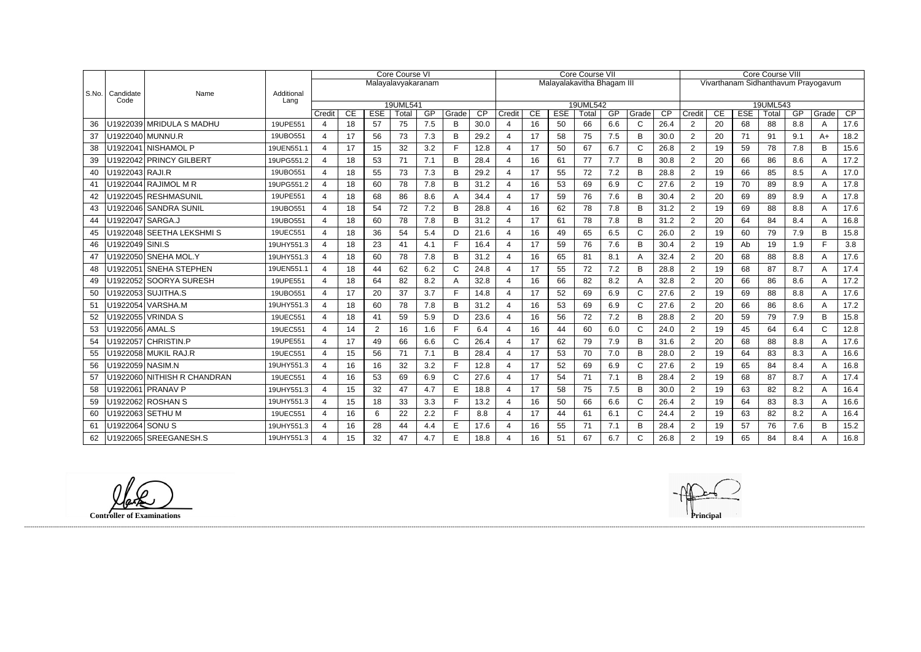|       |                    |                             |                    | Core Course VI          |    |                |                    |     |              | Core Course VII |                |    |            |                            |     |                | Core Course VIII |                |                                     |            |                   |     |              |      |
|-------|--------------------|-----------------------------|--------------------|-------------------------|----|----------------|--------------------|-----|--------------|-----------------|----------------|----|------------|----------------------------|-----|----------------|------------------|----------------|-------------------------------------|------------|-------------------|-----|--------------|------|
|       |                    |                             |                    |                         |    |                | Malayalavyakaranam |     |              |                 |                |    |            | Malayalakavitha Bhagam III |     |                |                  |                | Vivarthanam Sidhanthavum Prayogavum |            |                   |     |              |      |
| S.No. | Candidate<br>Code  | Name                        | Additional<br>Lang |                         |    |                |                    |     |              |                 |                |    |            |                            |     |                |                  |                |                                     |            |                   |     |              |      |
|       |                    |                             |                    | Credit                  | CE | <b>ESE</b>     | 19UML541<br>Total  | GP  | Grade        | $\overline{CP}$ | Credit         | CE | <b>ESE</b> | 19UML542<br>Total          | GP  | Grade          | $\overline{CP}$  | Credit         | CE                                  | <b>ESE</b> | 19UML543<br>Total | GP  | Grade        | CP   |
| 36    |                    | U1922039 MRIDULA S MADHU    | 19UPE551           | 4                       | 18 | 57             | 75                 | 7.5 | B            | 30.0            | $\mathbf 4$    | 16 | 50         | 66                         | 6.6 | C              | 26.4             | $\overline{2}$ | 20                                  | 68         | 88                | 8.8 | A            | 17.6 |
| 37    |                    | U1922040   MUNNU.R          | 19UBO551           | 4                       | 17 | 56             | 73                 | 7.3 | B            | 29.2            | 4              | 17 | 58         | 75                         | 7.5 | B              | 30.0             | $\overline{2}$ | 20                                  | 71         | 91                | 9.1 | $A+$         | 18.2 |
| 38    |                    | U1922041 NISHAMOL P         | 19UEN551.1         | $\boldsymbol{\Delta}$   | 17 | 15             | 32                 | 3.2 | F            | 12.8            | $\overline{a}$ | 17 | 50         | 67                         | 6.7 | $\mathsf C$    | 26.8             | 2              | 19                                  | 59         | 78                | 7.8 | B.           | 15.6 |
| 39    |                    | U1922042 PRINCY GILBERT     | 19UPG551.2         | 4                       | 18 | 53             | 71                 | 7.1 | B            | 28.4            |                | 16 | 61         | 77                         | 7.7 | B              | 30.8             | $\overline{2}$ | 20                                  | 66         | 86                | 8.6 | A            | 17.2 |
| 40    | U1922043 RAJI.R    |                             | 19UBO551           | $\overline{\mathbf{4}}$ | 18 | 55             | 73                 | 7.3 | B            | 29.2            | $\overline{4}$ | 17 | 55         | 72                         | 7.2 | B              | 28.8             | 2              | 19                                  | 66         | 85                | 8.5 | A            | 17.0 |
| 41    |                    | U1922044 RAJIMOL M R        | 19UPG551.2         | 4                       | 18 | 60             | 78                 | 7.8 | B            | 31.2            |                | 16 | 53         | 69                         | 6.9 | $\mathsf{C}$   | 27.6             | $\overline{2}$ | 19                                  | 70         | 89                | 8.9 |              | 17.8 |
| 42    |                    | U1922045 RESHMASUNIL        | 19UPE551           | 4                       | 18 | 68             | 86                 | 8.6 | Α            | 34.4            | 4              | 17 | 59         | 76                         | 7.6 | B              | 30.4             | $\overline{2}$ | 20                                  | 69         | 89                | 8.9 | A            | 17.8 |
| 43    |                    | U1922046 SANDRA SUNIL       | 19UBO551           | 4                       | 18 | 54             | 72                 | 7.2 | B            | 28.8            | 4              | 16 | 62         | 78                         | 7.8 | $\overline{B}$ | 31.2             | $\overline{2}$ | 19                                  | 69         | 88                | 8.8 | A            | 17.6 |
| 44    | U1922047 SARGA.J   |                             | 19UBO551           | 4                       | 18 | 60             | 78                 | 7.8 | B            | 31.2            |                | 17 | 61         | 78                         | 7.8 | B              | 31.2             | $\overline{2}$ | 20                                  | 64         | 84                | 8.4 | A            | 16.8 |
| 45    |                    | U1922048 SEETHA LEKSHMI S   | 19UEC551           | 4                       | 18 | 36             | 54                 | 5.4 | D            | 21.6            | 4              | 16 | 49         | 65                         | 6.5 | $\mathsf{C}$   | 26.0             | 2              | 19                                  | 60         | 79                | 7.9 | B            | 15.8 |
| 46    | U1922049   SINI.S  |                             | 19UHY551.3         | 4                       | 18 | 23             | 41                 | 4.1 | E            | 16.4            | 4              | 17 | 59         | 76                         | 7.6 | B              | 30.4             | $\overline{2}$ | 19                                  | Ab         | 19                | 1.9 | Е            | 3.8  |
| 47    |                    | U1922050 SNEHA MOL.Y        | 19UHY551.3         | 4                       | 18 | 60             | 78                 | 7.8 | B            | 31.2            | $\overline{a}$ | 16 | 65         | 81                         | 8.1 | A              | 32.4             | 2              | 20                                  | 68         | 88                | 8.8 | A            | 17.6 |
| 48    |                    | U1922051 SNEHA STEPHEN      | 19UEN551.1         | $\boldsymbol{\Delta}$   | 18 | 44             | 62                 | 6.2 | C            | 24.8            |                | 17 | 55         | 72                         | 7.2 | B              | 28.8             | 2              | 19                                  | 68         | 87                | 8.7 | А            | 17.4 |
| 49    |                    | U1922052 SOORYA SURESH      | 19UPE551           | 4                       | 18 | 64             | 82                 | 8.2 | А            | 32.8            |                | 16 | 66         | 82                         | 8.2 | A              | 32.8             | 2              | 20                                  | 66         | 86                | 8.6 | A            | 17.2 |
| 50    |                    | U1922053 SUJITHA.S          | 19UBO551           | 4                       | 17 | 20             | 37                 | 3.7 | F            | 14.8            | $\overline{a}$ | 17 | 52         | 69                         | 6.9 | $\mathsf{C}$   | 27.6             | 2              | 19                                  | 69         | 88                | 8.8 | A            | 17.6 |
| 51    |                    | U1922054 VARSHA.M           | 19UHY551.3         | 4                       | 18 | 60             | 78                 | 7.8 | B            | 31.2            | 4              | 16 | 53         | 69                         | 6.9 | $\mathsf{C}$   | 27.6             | $\overline{2}$ | 20                                  | 66         | 86                | 8.6 | A            | 17.2 |
| 52    | U1922055           | <b>VRINDAS</b>              | 19UEC551           | 4                       | 18 | 41             | 59                 | 5.9 | D            | 23.6            | 4              | 16 | 56         | 72                         | 7.2 | B              | 28.8             | 2              | 20                                  | 59         | 79                | 7.9 | B            | 15.8 |
| 53    | U1922056   AMAL.S  |                             | 19UEC551           | 4                       | 14 | $\overline{c}$ | 16                 | 1.6 | E            | 6.4             |                | 16 | 44         | 60                         | 6.0 | $\mathsf C$    | 24.0             | $\overline{2}$ | 19                                  | 45         | 64                | 6.4 | $\mathsf{C}$ | 12.8 |
| 54    |                    | U1922057 CHRISTIN.P         | 19UPE551           | 4                       | 17 | 49             | 66                 | 6.6 | $\mathsf{C}$ | 26.4            | 4              | 17 | 62         | 79                         | 7.9 | B              | 31.6             | $\overline{2}$ | 20                                  | 68         | 88                | 8.8 | A            | 17.6 |
| 55    |                    | U1922058 MUKIL RAJ.R        | 19UEC551           | 4                       | 15 | 56             | 71                 | 7.1 | B            | 28.4            | $\overline{4}$ | 17 | 53         | 70                         | 7.0 | B              | 28.0             | 2              | 19                                  | 64         | 83                | 8.3 | A            | 16.6 |
| 56    | U1922059   NASIM.N |                             | 19UHY551.3         | 4                       | 16 | 16             | 32                 | 3.2 | E            | 12.8            | 4              | 17 | 52         | 69                         | 6.9 | $\mathsf{C}$   | 27.6             | 2              | 19                                  | 65         | 84                | 8.4 | A            | 16.8 |
| 57    |                    | U1922060 NITHISH R CHANDRAN | 19UEC551           | 4                       | 16 | 53             | 69                 | 6.9 | $\mathsf{C}$ | 27.6            | 4              | 17 | 54         | 71                         | 7.1 | B              | 28.4             | $\overline{2}$ | 19                                  | 68         | 87                | 8.7 | A            | 17.4 |
| 58    |                    | U1922061 PRANAV P           | 19UHY551.3         | 4                       | 15 | 32             | 47                 | 4.7 | E            | 18.8            |                | 17 | 58         | 75                         | 7.5 | B              | 30.0             | $\overline{2}$ | 19                                  | 63         | 82                | 8.2 | A            | 16.4 |
| 59    |                    | U1922062 ROSHAN S           | 19UHY551.3         | $\boldsymbol{\Delta}$   | 15 | 18             | 33                 | 3.3 | F.           | 13.2            | $\overline{4}$ | 16 | 50         | 66                         | 6.6 | $\mathsf C$    | 26.4             | $\overline{2}$ | 19                                  | 64         | 83                | 8.3 | A            | 16.6 |
| 60    |                    | U1922063 SETHU M            | 19UEC551           | $\boldsymbol{\Delta}$   | 16 | 6              | 22                 | 2.2 | F            | 8.8             | 4              | 17 | 44         | 61                         | 6.1 | $\mathsf{C}$   | 24.4             | $\overline{2}$ | 19                                  | 63         | 82                | 8.2 | A            | 16.4 |
| 61    | U1922064 SONU S    |                             | 19UHY551.3         | 4                       | 16 | 28             | 44                 | 4.4 | E            | 17.6            |                | 16 | 55         | 71                         | 7.1 | B              | 28.4             | $\overline{2}$ | 19                                  | 57         | 76                | 7.6 | B            | 15.2 |
| 62    |                    | U1922065 SREEGANESH.S       | 19UHY551.3         | 4                       | 15 | 32             | 47                 | 4.7 | E            | 18.8            |                | 16 | 51         | 67                         | 6.7 | $\mathsf{C}$   | 26.8             | $\overline{2}$ | 19                                  | 65         | 84                | 8.4 | А            | 16.8 |

**Controller of Examinations Principal**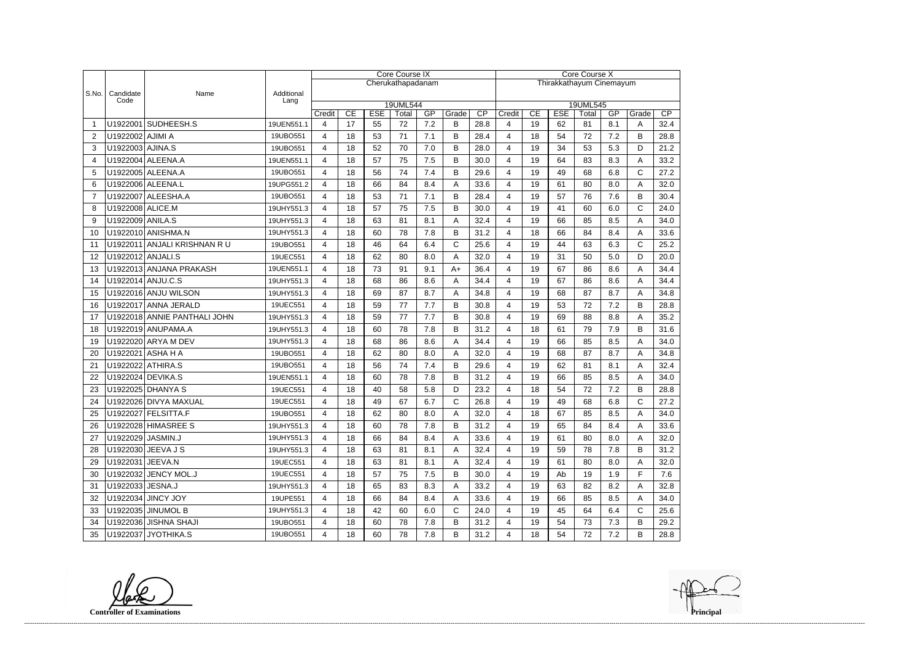|                |                   |                              | Core Course IX     |                |                                                                            |    |                   |     |              |                          |                         | Core Course X |            |                   |     |          |      |  |  |
|----------------|-------------------|------------------------------|--------------------|----------------|----------------------------------------------------------------------------|----|-------------------|-----|--------------|--------------------------|-------------------------|---------------|------------|-------------------|-----|----------|------|--|--|
|                |                   |                              |                    |                |                                                                            |    | Cherukathapadanam |     |              | Thirakkathayum Cinemayum |                         |               |            |                   |     |          |      |  |  |
| S.No.          | Candidate<br>Code | Name                         | Additional<br>Lang |                |                                                                            |    |                   |     |              |                          |                         |               |            |                   |     |          |      |  |  |
|                |                   |                              |                    | Credit         | 19UML544<br>CP<br>CE<br><b>ESE</b><br>GP<br>Grade<br>CE<br>Total<br>Credit |    |                   |     |              |                          |                         |               | <b>ESE</b> | 19UML545<br>Total | GP  | Grade    | CP   |  |  |
| -1             |                   | U1922001 SUDHEESH.S          | 19UEN551.1         | 4              | 17                                                                         | 55 | 72                | 7.2 | B            | 28.8                     | 4                       | 19            | 62         | 81                | 8.1 | A        | 32.4 |  |  |
| $\overline{2}$ | U1922002 AJIMI A  |                              | 19UBO551           | 4              | 18                                                                         | 53 | 71                | 7.1 | B            | 28.4                     | 4                       | 18            | 54         | 72                | 7.2 | B        | 28.8 |  |  |
| 3              | U1922003 AJINA.S  |                              | 19UBO551           | 4              | 18                                                                         | 52 | 70                | 7.0 | B            | 28.0                     | 4                       | 19            | 34         | 53                | 5.3 | D        | 21.2 |  |  |
| 4              |                   | U1922004 ALEENA.A            | 19UEN551.1         | 4              | 18                                                                         | 57 | 75                | 7.5 | B            | 30.0                     | 4                       | 19            | 64         | 83                | 8.3 | Α        | 33.2 |  |  |
| 5              |                   | U1922005 ALEENA.A            | 19UBO551           | 4              | 18                                                                         | 56 | 74                | 7.4 | B            | 29.6                     | $\overline{\mathbf{4}}$ | 19            | 49         | 68                | 6.8 | C        | 27.2 |  |  |
| 6              |                   | U1922006 ALEENA.L            | 19UPG551.2         | $\overline{4}$ | 18                                                                         | 66 | 84                | 8.4 | A            | 33.6                     | 4                       | 19            | 61         | 80                | 8.0 | Α        | 32.0 |  |  |
| $\overline{7}$ |                   | U1922007 ALEESHA.A           | 19UBO551           | 4              | 18                                                                         | 53 | 71                | 7.1 | B            | 28.4                     | 4                       | 19            | 57         | 76                | 7.6 | B        | 30.4 |  |  |
| 8              | U1922008 ALICE.M  |                              | 19UHY551.3         | 4              | 18                                                                         | 57 | 75                | 7.5 | B            | 30.0                     | 4                       | 19            | 41         | 60                | 6.0 | C        | 24.0 |  |  |
| 9              | U1922009 ANILA.S  |                              | 19UHY551.3         | 4              | 18                                                                         | 63 | 81                | 8.1 | Α            | 32.4                     | 4                       | 19            | 66         | 85                | 8.5 | A        | 34.0 |  |  |
| 10             |                   | U1922010 ANISHMA.N           | 19UHY551.3         | 4              | 18                                                                         | 60 | 78                | 7.8 | B            | 31.2                     | 4                       | 18            | 66         | 84                | 8.4 | Α        | 33.6 |  |  |
| 11             |                   | U1922011 ANJALI KRISHNAN RU  | 19UBO551           | 4              | 18                                                                         | 46 | 64                | 6.4 | $\mathsf{C}$ | 25.6                     | 4                       | 19            | 44         | 63                | 6.3 | C        | 25.2 |  |  |
| 12             | U1922012 ANJALI.S |                              | 19UEC551           | 4              | 18                                                                         | 62 | 80                | 8.0 | A            | 32.0                     | 4                       | 19            | 31         | 50                | 5.0 | D        | 20.0 |  |  |
| 13             |                   | U1922013 ANJANA PRAKASH      | 19UEN551.1         | 4              | 18                                                                         | 73 | 91                | 9.1 | $A+$         | 36.4                     | 4                       | 19            | 67         | 86                | 8.6 | Α        | 34.4 |  |  |
| 14             |                   | U1922014 ANJU.C.S            | 19UHY551.3         | 4              | 18                                                                         | 68 | 86                | 8.6 | A            | 34.4                     | 4                       | 19            | 67         | 86                | 8.6 | Α        | 34.4 |  |  |
| 15             |                   | U1922016 ANJU WILSON         | 19UHY551.3         | 4              | 18                                                                         | 69 | 87                | 8.7 | A            | 34.8                     | 4                       | 19            | 68         | 87                | 8.7 | A        | 34.8 |  |  |
| 16             |                   | U1922017 ANNA JERALD         | 19UEC551           | 4              | 18                                                                         | 59 | 77                | 7.7 | B            | 30.8                     | 4                       | 19            | 53         | 72                | 7.2 | B        | 28.8 |  |  |
| 17             |                   | U1922018 ANNIE PANTHALI JOHN | 19UHY551.3         | 4              | 18                                                                         | 59 | 77                | 7.7 | B            | 30.8                     | 4                       | 19            | 69         | 88                | 8.8 | Α        | 35.2 |  |  |
| 18             |                   | U1922019 ANUPAMA.A           | 19UHY551.3         | 4              | 18                                                                         | 60 | 78                | 7.8 | B            | 31.2                     | 4                       | 18            | 61         | 79                | 7.9 | B        | 31.6 |  |  |
| 19             |                   | U1922020 ARYA M DEV          | 19UHY551.3         | 4              | 18                                                                         | 68 | 86                | 8.6 | A            | 34.4                     | 4                       | 19            | 66         | 85                | 8.5 | A        | 34.0 |  |  |
| 20             |                   | U1922021 ASHA H A            | 19UBO551           | 4              | 18                                                                         | 62 | 80                | 8.0 | A            | 32.0                     | 4                       | 19            | 68         | 87                | 8.7 | A        | 34.8 |  |  |
| 21             |                   | U1922022 ATHIRA.S            | 19UBO551           | 4              | 18                                                                         | 56 | 74                | 7.4 | B            | 29.6                     | 4                       | 19            | 62         | 81                | 8.1 | Α        | 32.4 |  |  |
| 22             |                   | U1922024 DEVIKA.S            | 19UEN551.1         | 4              | 18                                                                         | 60 | 78                | 7.8 | B            | 31.2                     | 4                       | 19            | 66         | 85                | 8.5 | A        | 34.0 |  |  |
| 23             |                   | U1922025 DHANYA S            | 19UEC551           | 4              | 18                                                                         | 40 | 58                | 5.8 | D            | 23.2                     | 4                       | 18            | 54         | 72                | 7.2 | B        | 28.8 |  |  |
| 24             |                   | U1922026 DIVYA MAXUAL        | 19UEC551           | 4              | 18                                                                         | 49 | 67                | 6.7 | $\mathsf{C}$ | 26.8                     | 4                       | 19            | 49         | 68                | 6.8 | C        | 27.2 |  |  |
| 25             |                   | U1922027 FELSITTA.F          | 19UBO551           | 4              | 18                                                                         | 62 | $80\,$            | 8.0 | A            | 32.0                     | 4                       | 18            | 67         | 85                | 8.5 | A<br>,,, | 34.0 |  |  |
| 26             |                   | U1922028 HIMASREE S          | 19UHY551.3         | 4              | 18                                                                         | 60 | 78                | 7.8 | B            | 31.2                     | 4                       | 19            | 65         | 84                | 8.4 | A        | 33.6 |  |  |
| 27             | U1922029 JASMIN.J |                              | 19UHY551.3         | 4              | 18                                                                         | 66 | 84                | 8.4 | A            | 33.6                     | 4                       | 19            | 61         | 80                | 8.0 | Α        | 32.0 |  |  |
| 28             |                   | U1922030 JEEVA J S           | 19UHY551.3         | 4              | 18                                                                         | 63 | 81                | 8.1 | A            | 32.4                     | 4                       | 19            | 59         | 78                | 7.8 | В        | 31.2 |  |  |
| 29             | U1922031 JEEVA.N  |                              | 19UEC551           | 4              | 18                                                                         | 63 | 81                | 8.1 | A            | 32.4                     | 4                       | 19            | 61         | 80                | 8.0 | A        | 32.0 |  |  |
| 30             |                   | U1922032 JENCY MOL.J         | 19UEC551           | 4              | 18                                                                         | 57 | 75                | 7.5 | B            | 30.0                     | 4                       | 19            | Ab         | 19                | 1.9 | F        | 7.6  |  |  |
| 31             | U1922033 JESNA.J  |                              | 19UHY551.3         | 4              | 18                                                                         | 65 | 83                | 8.3 | A            | 33.2                     | 4                       | 19            | 63         | 82                | 8.2 | A        | 32.8 |  |  |
| 32             |                   | U1922034 JINCY JOY           | 19UPE551           | 4              | 18                                                                         | 66 | 84                | 8.4 | A            | 33.6                     | 4                       | 19            | 66         | 85                | 8.5 | A        | 34.0 |  |  |
| 33             |                   | U1922035 JINUMOL B           | 19UHY551.3         | 4              | 18                                                                         | 42 | 60                | 6.0 | $\mathsf{C}$ | 24.0                     | 4                       | 19            | 45         | 64                | 6.4 | С        | 25.6 |  |  |
| 34             |                   | U1922036 JISHNA SHAJI        | 19UBO551           | 4              | 18                                                                         | 60 | 78                | 7.8 | B            | 31.2                     | 4                       | 19            | 54         | 73                | 7.3 | B        | 29.2 |  |  |
| 35             |                   | U1922037 JYOTHIKA.S          | 19UBO551           | 4              | 18                                                                         | 60 | 78                | 7.8 | B            | 31.2                     | 4                       | 18            | 54         | 72                | 7.2 | В        | 28.8 |  |  |

**Controller of Examinations**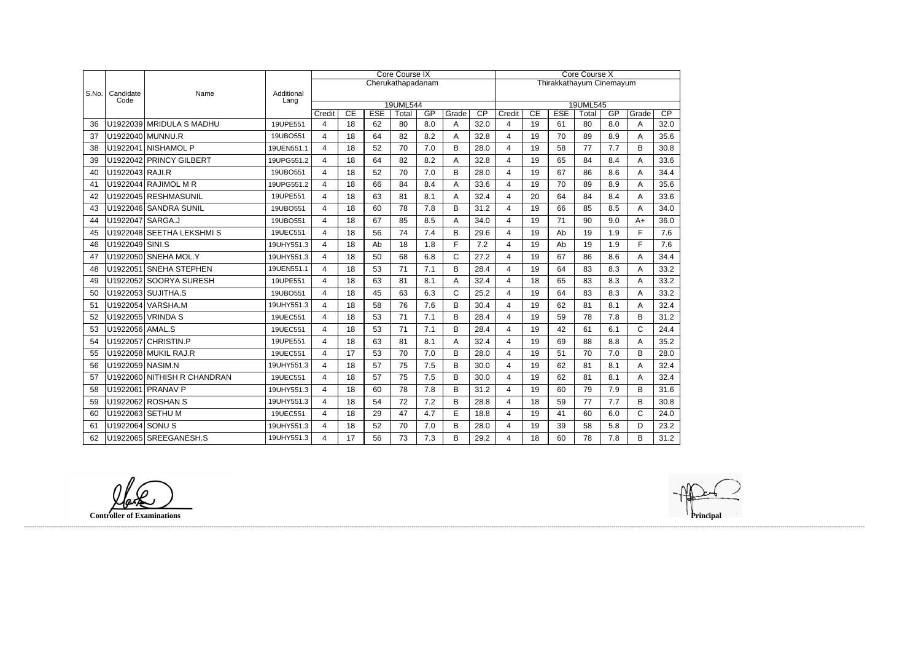|       |                   |                             |                    |                         |    |            | Core Course IX    |     |              | Core Course X |                |    |            |                          |     |              |      |
|-------|-------------------|-----------------------------|--------------------|-------------------------|----|------------|-------------------|-----|--------------|---------------|----------------|----|------------|--------------------------|-----|--------------|------|
|       |                   |                             |                    |                         |    |            | Cherukathapadanam |     |              |               |                |    |            | Thirakkathayum Cinemayum |     |              |      |
| S.No. | Candidate<br>Code | Name                        | Additional<br>Lang |                         |    |            |                   |     |              |               |                |    |            |                          |     |              |      |
|       |                   |                             |                    | Credit                  | CE | <b>ESE</b> | 19UML544<br>Total | GP  | Grade        | CP            | Credit         | CE | <b>ESE</b> | 19UML545<br>Total        | GP  | Grade        | CP   |
| 36    |                   | U1922039 MRIDULA S MADHU    | 19UPE551           | $\overline{\mathbf{4}}$ | 18 | 62         | 80                | 8.0 | Α            | 32.0          | $\overline{4}$ | 19 | 61         | 80                       | 8.0 | A            | 32.0 |
| 37    |                   | U1922040 MUNNU.R            | 19UBO551           | $\overline{4}$          | 18 | 64         | 82                | 8.2 | A            | 32.8          | 4              | 19 | 70         | 89                       | 8.9 | A            | 35.6 |
| 38    |                   | U1922041 NISHAMOL P         | 19UEN551.1         | 4                       | 18 | 52         | 70                | 7.0 | B            | 28.0          | 4              | 19 | 58         | 77                       | 7.7 | B            | 30.8 |
| 39    |                   | U1922042 PRINCY GILBERT     | 19UPG551.2         | 4                       | 18 | 64         | 82                | 8.2 | Α            | 32.8          | 4              | 19 | 65         | 84                       | 8.4 | A            | 33.6 |
| 40    | U1922043 RAJI.R   |                             | 19UBO551           | $\overline{4}$          | 18 | 52         | 70                | 7.0 | B            | 28.0          | 4              | 19 | 67         | 86                       | 8.6 | A            | 34.4 |
| 41    |                   | U1922044 RAJIMOL M R        | 19UPG551.2         | $\overline{4}$          | 18 | 66         | 84                | 8.4 | A            | 33.6          | 4              | 19 | 70         | 89                       | 8.9 | A            | 35.6 |
| 42    |                   | U1922045 RESHMASUNIL        | 19UPE551           | $\overline{4}$          | 18 | 63         | 81                | 8.1 | Α            | 32.4          | 4              | 20 | 64         | 84                       | 8.4 | A            | 33.6 |
| 43    |                   | U1922046 SANDRA SUNIL       | 19UBO551           | $\overline{4}$          | 18 | 60         | 78                | 7.8 | B            | 31.2          | 4              | 19 | 66         | 85                       | 8.5 | A            | 34.0 |
| 44    | U1922047 SARGA.J  |                             | 19UBO551           | $\overline{4}$          | 18 | 67         | 85                | 8.5 | A            | 34.0          | 4              | 19 | 71         | 90                       | 9.0 | $A+$         | 36.0 |
| 45    |                   | U1922048 SEETHA LEKSHMIS    | 19UEC551           | 4                       | 18 | 56         | 74                | 7.4 | B            | 29.6          | $\overline{4}$ | 19 | Ab         | 19                       | 1.9 | $\mathsf{F}$ | 7.6  |
| 46    | U1922049 SINI.S   |                             | 19UHY551.3         | 4                       | 18 | Ab         | 18                | 1.8 | F            | 7.2           | 4              | 19 | Ab         | 19                       | 1.9 | E            | 7.6  |
| 47    |                   | U1922050 SNEHA MOL.Y        | 19UHY551.3         | $\overline{4}$          | 18 | 50         | 68                | 6.8 | $\mathsf{C}$ | 27.2          | 4              | 19 | 67         | 86                       | 8.6 | A            | 34.4 |
| 48    |                   | U1922051 SNEHA STEPHEN      | 19UEN551.1         | $\overline{4}$          | 18 | 53         | 71                | 7.1 | B            | 28.4          | 4              | 19 | 64         | 83                       | 8.3 | A            | 33.2 |
| 49    |                   | U1922052 SOORYA SURESH      | 19UPE551           | $\overline{4}$          | 18 | 63         | 81                | 8.1 | A            | 32.4          | 4              | 18 | 65         | 83                       | 8.3 | A            | 33.2 |
| 50    |                   | U1922053 SUJITHA.S          | 19UBO551           | $\overline{4}$          | 18 | 45         | 63                | 6.3 | $\mathsf{C}$ | 25.2          | 4              | 19 | 64         | 83                       | 8.3 | A            | 33.2 |
| 51    |                   | U1922054 VARSHA.M           | 19UHY551.3         | $\overline{4}$          | 18 | 58         | 76                | 7.6 | B            | 30.4          | 4              | 19 | 62         | 81                       | 8.1 | A            | 32.4 |
| 52    |                   | U1922055 VRINDA S           | 19UEC551           | 4                       | 18 | 53         | 71                | 7.1 | B            | 28.4          | 4              | 19 | 59         | 78                       | 7.8 | B            | 31.2 |
| 53    | U1922056 AMAL.S   |                             | 19UEC551           | $\overline{4}$          | 18 | 53         | 71                | 7.1 | B            | 28.4          | 4              | 19 | 42         | 61                       | 6.1 | $\mathsf{C}$ | 24.4 |
| 54    |                   | U1922057 CHRISTIN.P         | 19UPE551           | 4                       | 18 | 63         | 81                | 8.1 | Α            | 32.4          | 4              | 19 | 69         | 88                       | 8.8 | A            | 35.2 |
| 55    |                   | U1922058 MUKIL RAJ.R        | 19UEC551           | 4                       | 17 | 53         | 70                | 7.0 | B            | 28.0          | 4              | 19 | 51         | 70                       | 7.0 | B            | 28.0 |
| 56    | U1922059 NASIM.N  |                             | 19UHY551.3         | $\overline{4}$          | 18 | 57         | 75                | 7.5 | B            | 30.0          | 4              | 19 | 62         | 81                       | 8.1 | A            | 32.4 |
| 57    |                   | U1922060 NITHISH R CHANDRAN | 19UEC551           | $\overline{4}$          | 18 | 57         | 75                | 7.5 | B            | 30.0          | 4              | 19 | 62         | 81                       | 8.1 | A            | 32.4 |
| 58    |                   | U1922061 PRANAV P           | 19UHY551.3         | $\overline{4}$          | 18 | 60         | 78                | 7.8 | B            | 31.2          | 4              | 19 | 60         | 79                       | 7.9 | B            | 31.6 |
| 59    |                   | U1922062 ROSHAN S           | 19UHY551.3         | 4                       | 18 | 54         | 72                | 7.2 | B            | 28.8          | 4              | 18 | 59         | 77                       | 7.7 | B            | 30.8 |
| 60    |                   | U1922063 SETHU M            | 19UEC551           | 4                       | 18 | 29         | 47                | 4.7 | E            | 18.8          | 4              | 19 | 41         | 60                       | 6.0 | $\mathsf{C}$ | 24.0 |
| 61    | U1922064 SONU S   |                             | 19UHY551.3         | $\overline{\mathbf{4}}$ | 18 | 52         | 70                | 7.0 | B            | 28.0          | 4              | 19 | 39         | 58                       | 5.8 | D            | 23.2 |
| 62    |                   | U1922065 SREEGANESH.S       | 19UHY551.3         | 4                       | 17 | 56         | 73                | 7.3 | B            | 29.2          | 4              | 18 | 60         | 78                       | 7.8 | B            | 31.2 |

**Controller of Examinations**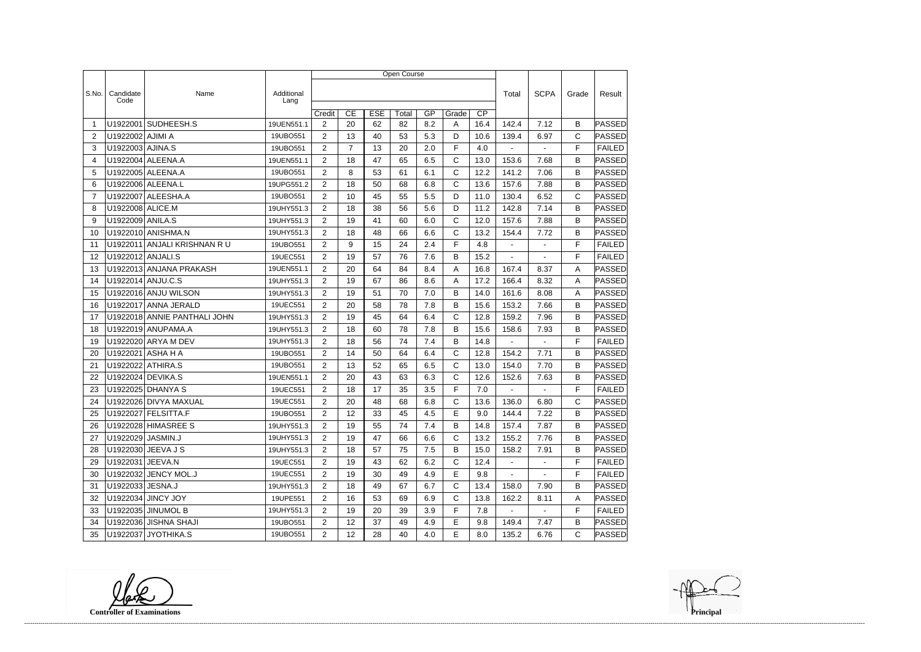|                |                   |                              |                    | Open Course    |                |            |       |     |              |                 |                |                |              |               |  |
|----------------|-------------------|------------------------------|--------------------|----------------|----------------|------------|-------|-----|--------------|-----------------|----------------|----------------|--------------|---------------|--|
|                |                   |                              |                    |                |                |            |       |     |              |                 |                |                |              |               |  |
| S.No.          | Candidate<br>Code | Name                         | Additional<br>Lang |                |                |            |       |     |              |                 | Total          | <b>SCPA</b>    | Grade        | Result        |  |
|                |                   |                              |                    | Credit         | CE             | <b>ESE</b> | Total | GP  | Grade        | $\overline{CP}$ |                |                |              |               |  |
| -1             | U1922001          | SUDHEESH.S                   | 19UEN551.1         | $\overline{2}$ | 20             | 62         | 82    | 8.2 | A            | 16.4            | 142.4          | 7.12           | B            | PASSED        |  |
| 2              | U1922002 AJIMI A  |                              | 19UBO551           | $\overline{2}$ | 13             | 40         | 53    | 5.3 | D            | 10.6            | 139.4          | 6.97           | $\mathsf C$  | PASSED        |  |
| 3              | U1922003 AJINA.S  |                              | 19UBO551           | $\overline{2}$ | $\overline{7}$ | 13         | 20    | 2.0 | F            | 4.0             |                |                | F            | <b>FAILED</b> |  |
| 4              |                   | U1922004 ALEENA.A            | 19UEN551.1         | $\overline{2}$ | 18             | 47         | 65    | 6.5 | C            | 13.0            | 153.6          | 7.68           | B            | PASSED        |  |
| 5              |                   | U1922005 ALEENA.A            | 19UBO551           | $\overline{2}$ | 8              | 53         | 61    | 6.1 | C            | 12.2            | 141.2          | 7.06           | B            | PASSED        |  |
| 6              |                   | U1922006 ALEENA.L            | 19UPG551.2         | $\overline{2}$ | 18             | 50         | 68    | 6.8 | C            | 13.6            | 157.6          | 7.88           | B            | PASSED        |  |
| $\overline{7}$ |                   | U1922007 ALEESHA.A           | 19UBO551           | $\overline{2}$ | 10             | 45         | 55    | 5.5 | D            | 11.0            | 130.4          | 6.52           | C            | PASSED        |  |
| 8              | U1922008 ALICE.M  |                              | 19UHY551.3         | $\overline{2}$ | 18             | 38         | 56    | 5.6 | D            | 11.2            | 142.8          | 7.14           | B            | <b>PASSED</b> |  |
| 9              | U1922009 ANILA.S  |                              | 19UHY551.3         | $\overline{2}$ | 19             | 41         | 60    | 6.0 | C            | 12.0            | 157.6          | 7.88           | B            | PASSED        |  |
| 10             |                   | U1922010 ANISHMA.N           | 19UHY551.3         | $\overline{2}$ | 18             | 48         | 66    | 6.6 | C            | 13.2            | 154.4          | 7.72           | B            | PASSED        |  |
| 11             | U1922011          | ANJALI KRISHNAN R U          | 19UBO551           | $\overline{2}$ | 9              | 15         | 24    | 2.4 | F            | 4.8             | $\blacksquare$ | $\blacksquare$ | F            | <b>FAILED</b> |  |
| 12             | U1922012 ANJALI.S |                              | 19UEC551           | $\overline{2}$ | 19             | 57         | 76    | 7.6 | B            | 15.2            | $\blacksquare$ | $\overline{a}$ | F            | <b>FAILED</b> |  |
| 13             |                   | U1922013 ANJANA PRAKASH      | 19UEN551.1         | $\overline{2}$ | 20             | 64         | 84    | 8.4 | Α            | 16.8            | 167.4          | 8.37           | Α            | <b>PASSED</b> |  |
| 14             |                   | U1922014 ANJU.C.S            | 19UHY551.3         | $\overline{2}$ | 19             | 67         | 86    | 8.6 | A            | 17.2            | 166.4          | 8.32           | A            | PASSED        |  |
| 15             |                   | U1922016 ANJU WILSON         | 19UHY551.3         | $\overline{2}$ | 19             | 51         | 70    | 7.0 | В            | 14.0            | 161.6          | 8.08           | A            | PASSED        |  |
| 16             |                   | U1922017 ANNA JERALD         | 19UEC551           | $\overline{2}$ | 20             | 58         | 78    | 7.8 | В            | 15.6            | 153.2          | 7.66           | B            | PASSED        |  |
| 17             |                   | U1922018 ANNIE PANTHALI JOHN | 19UHY551.3         | $\overline{2}$ | 19             | 45         | 64    | 6.4 | C            | 12.8            | 159.2          | 7.96           | B            | PASSED        |  |
| 18             |                   | U1922019 ANUPAMA.A           | 19UHY551.3         | 2              | 18             | 60         | 78    | 7.8 | В            | 15.6            | 158.6          | 7.93           | B            | <b>PASSED</b> |  |
| 19             |                   | U1922020 ARYA M DEV          | 19UHY551.3         | $\overline{2}$ | 18             | 56         | 74    | 7.4 | B            | 14.8            |                |                | F            | <b>FAILED</b> |  |
| 20             | U1922021          | <b>ASHAHA</b>                | 19UBO551           | $\overline{2}$ | 14             | 50         | 64    | 6.4 | C            | 12.8            | 154.2          | 7.71           | B            | PASSED        |  |
| 21             | U1922022          | ATHIRA.S                     | 19UBO551           | 2              | 13             | 52         | 65    | 6.5 | C            | 13.0            | 154.0          | 7.70           | B            | PASSED        |  |
| 22             |                   | U1922024 DEVIKA.S            | 19UEN551.1         | $\overline{2}$ | 20             | 43         | 63    | 6.3 | C            | 12.6            | 152.6          | 7.63           | B            | <b>PASSED</b> |  |
| 23             |                   | U1922025 DHANYA S            | 19UEC551           | $\overline{2}$ | 18             | 17         | 35    | 3.5 | F            | 7.0             |                |                | F            | <b>FAILED</b> |  |
| 24             |                   | U1922026 DIVYA MAXUAL        | 19UEC551           | $\overline{2}$ | 20             | 48         | 68    | 6.8 | C            | 13.6            | 136.0          | 6.80           | $\mathsf{C}$ | PASSED        |  |
| 25             |                   | U1922027 FELSITTA.F          | 19UBO551           | $\overline{2}$ | 12             | 33         | 45    | 4.5 | E            | 9.0             | 144.4          | 7.22           | B            | <b>PASSED</b> |  |
| 26             |                   | U1922028 HIMASREE S          | 19UHY551.3         | $\overline{2}$ | 19             | 55         | 74    | 7.4 | B            | 14.8            | 157.4          | 7.87           | B            | <b>PASSED</b> |  |
| 27             | U1922029 JASMIN.J |                              | 19UHY551.3         | $\overline{2}$ | 19             | 47         | 66    | 6.6 | $\mathsf{C}$ | 13.2            | 155.2          | 7.76           | B            | PASSED        |  |
| 28             |                   | U1922030 JEEVA J S           | 19UHY551.3         | $\overline{2}$ | 18             | 57         | 75    | 7.5 | B            | 15.0            | 158.2          | 7.91           | B            | PASSED        |  |
| 29             | U1922031 JEEVA.N  |                              | 19UEC551           | $\overline{2}$ | 19             | 43         | 62    | 6.2 | C            | 12.4            | $\sim$         | $\blacksquare$ | F            | <b>FAILED</b> |  |
| 30             |                   | U1922032 JENCY MOL.J         | 19UEC551           | $\overline{2}$ | 19             | 30         | 49    | 4.9 | E            | 9.8             | $\sim 10$      | $\sim$         | F            | <b>FAILED</b> |  |
| 31             | U1922033 JESNA.J  |                              | 19UHY551.3         | $\overline{2}$ | 18             | 49         | 67    | 6.7 | C            | 13.4            | 158.0          | 7.90           | B            | PASSED        |  |
| 32             |                   | U1922034 JINCY JOY           | 19UPE551           | $\overline{2}$ | 16             | 53         | 69    | 6.9 | $\mathsf{C}$ | 13.8            | 162.2          | 8.11           | Α            | PASSED        |  |
| 33             |                   | U1922035 JINUMOL B           | 19UHY551.3         | $\overline{2}$ | 19             | 20         | 39    | 3.9 | F            | 7.8             | $\sim$         | $\sim$         | F            | <b>FAILED</b> |  |
| 34             |                   | U1922036 JISHNA SHAJI        | 19UBO551           | $\overline{2}$ | 12             | 37         | 49    | 4.9 | Е            | 9.8             | 149.4          | 7.47           | B            | <b>PASSED</b> |  |
| 35             |                   | U1922037 JYOTHIKA.S          | 19UBO551           | $2^{\circ}$    | 12             | 28         | 40    | 4.0 | Е            | 8.0             | 135.2          | 6.76           | С            | <b>PASSED</b> |  |

**Controller of Examinations**